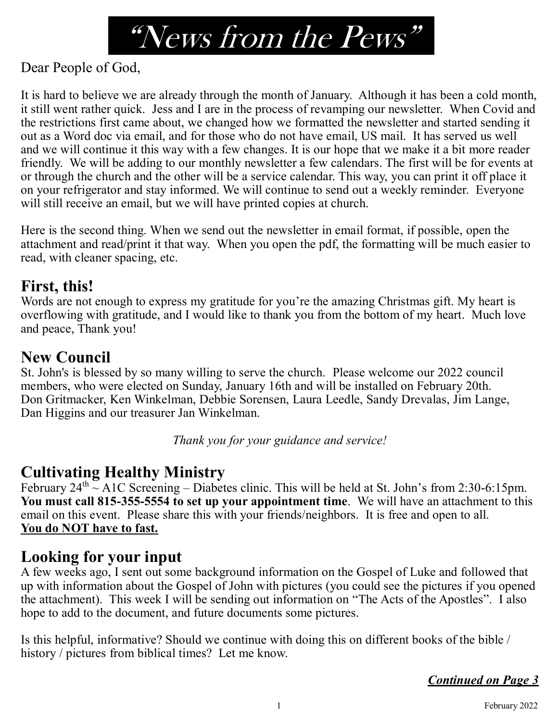# "News from the Pews"

Dear People of God,

It is hard to believe we are already through the month of January. Although it has been a cold month, it still went rather quick. Jess and I are in the process of revamping our newsletter. When Covid and the restrictions first came about, we changed how we formatted the newsletter and started sending it out as a Word doc via email, and for those who do not have email, US mail. It has served us well and we will continue it this way with a few changes. It is our hope that we make it a bit more reader friendly. We will be adding to our monthly newsletter a few calendars. The first will be for events at or through the church and the other will be a service calendar. This way, you can print it off place it on your refrigerator and stay informed. We will continue to send out a weekly reminder. Everyone will still receive an email, but we will have printed copies at church.

Here is the second thing. When we send out the newsletter in email format, if possible, open the attachment and read/print it that way. When you open the pdf, the formatting will be much easier to read, with cleaner spacing, etc.

#### **First, this!**

Words are not enough to express my gratitude for you're the amazing Christmas gift. My heart is overflowing with gratitude, and I would like to thank you from the bottom of my heart. Much love and peace, Thank you!

## **New Council**

St. John's is blessed by so many willing to serve the church. Please welcome our 2022 council members, who were elected on Sunday, January 16th and will be installed on February 20th. Don Gritmacker, Ken Winkelman, Debbie Sorensen, Laura Leedle, Sandy Drevalas, Jim Lange, Dan Higgins and our treasurer Jan Winkelman.

*Thank you for your guidance and service!*

#### **Cultivating Healthy Ministry**

February  $24^{th}$  ~ A1C Screening – Diabetes clinic. This will be held at St. John's from 2:30-6:15pm. **You must call 815-355-5554 to set up your appointment time**. We will have an attachment to this email on this event. Please share this with your friends/neighbors. It is free and open to all. **You do NOT have to fast.**

# **Looking for your input**

A few weeks ago, I sent out some background information on the Gospel of Luke and followed that up with information about the Gospel of John with pictures (you could see the pictures if you opened the attachment). This week I will be sending out information on "The Acts of the Apostles". I also hope to add to the document, and future documents some pictures.

Is this helpful, informative? Should we continue with doing this on different books of the bible / history / pictures from biblical times? Let me know.

*Continued on Page 3*

1 February 2022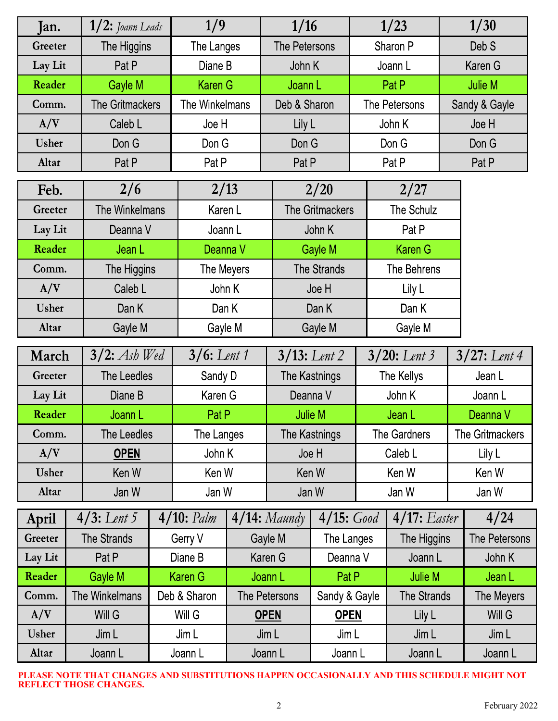| Jan.                            |                | $1/2$ : Joann Leads |                | 1/9            |                 | 1/16                   |              | 1/23            |                  | 1/30                   |  |
|---------------------------------|----------------|---------------------|----------------|----------------|-----------------|------------------------|--------------|-----------------|------------------|------------------------|--|
| Greeter                         | The Higgins    |                     | The Langes     |                | The Petersons   |                        | Sharon P     |                 | Deb <sub>S</sub> |                        |  |
| Lay Lit<br>Pat P                |                |                     | Diane B        |                |                 | John K                 |              | Joann L         |                  | Karen G                |  |
| Reader<br>Gayle M               |                |                     | <b>Karen G</b> |                |                 | Joann L                |              | Pat P           |                  | Julie M                |  |
| <b>The Gritmackers</b><br>Comm. |                |                     | The Winkelmans |                |                 | Deb & Sharon           |              | The Petersons   |                  | Sandy & Gayle          |  |
| A/V<br>Caleb L                  |                |                     | Joe H          |                | Lily L          |                        | John K       |                 |                  | Joe H                  |  |
| Usher<br>Don G                  |                |                     | Don G          |                | Don G           |                        | Don G        |                 |                  | Don G                  |  |
| Altar                           | Pat P          |                     |                | Pat P          |                 | Pat P                  |              | Pat P           |                  | Pat <sub>P</sub>       |  |
| Feb.                            | 2/6            |                     |                | 2/13           |                 | 2/20                   |              | 2/27            |                  |                        |  |
| Greeter                         |                | The Winkelmans      |                | Karen L        |                 | <b>The Gritmackers</b> |              | The Schulz      |                  |                        |  |
| Lay Lit                         |                | Deanna V            |                | Joann L        |                 | John K                 |              | Pat P           |                  |                        |  |
| Reader                          | Jean L         |                     |                | Deanna V       |                 | Gayle M                |              | <b>Karen G</b>  |                  |                        |  |
| Comm.                           |                | The Higgins         |                | The Meyers     |                 | <b>The Strands</b>     |              | The Behrens     |                  |                        |  |
| A/V                             | Caleb L        |                     |                | John K         |                 | Joe H                  |              | Lily L          |                  |                        |  |
| Usher                           | Dan K          |                     |                | Dan K          |                 | Dan K                  |              | Dan K           |                  |                        |  |
| Altar                           |                | Gayle M             |                | Gayle M        |                 | Gayle M                |              | Gayle M         |                  |                        |  |
| March                           |                | $3/2$ : Ash Wed     |                | $3/6$ : Lent 1 |                 | $3/13$ : Lent 2        |              | $3/20$ : Lent 3 |                  | $3/27:$ Lent 4         |  |
| Greeter                         |                | The Leedles         |                | Sandy D        |                 | The Kastnings          |              | The Kellys      |                  | Jean L                 |  |
| Lay Lit                         | Diane B        |                     |                | Karen G        |                 | Deanna V               |              | John K          |                  | Joann L                |  |
| Reader                          | Joann L        |                     |                | Pat P          |                 | Julie M                |              | Jean L          |                  | Deanna V               |  |
| Comm.<br>The Leedles            |                |                     | The Langes     |                | The Kastnings   |                        | The Gardners |                 |                  | <b>The Gritmackers</b> |  |
| A/V                             | <b>OPEN</b>    |                     | John K         |                | Joe H           |                        | Caleb L      |                 | Lily L           |                        |  |
| Usher                           | Ken W          |                     |                | Ken W          |                 | Ken W                  |              | Ken W           |                  | Ken W                  |  |
| Altar<br>Jan W                  |                | Jan W               |                |                | Jan W           |                        | Jan W        |                 | Jan W            |                        |  |
| April                           | $4/3$ : Lent 5 |                     | $4/10:$ Palm   |                | $4/14$ : Maundy | 4/15: Good             |              | $4/17:$ Easter  |                  | 4/24                   |  |
| Greeter                         | The Strands    |                     | Gerry V        |                | Gayle M         |                        | The Langes   |                 | The Higgins      | The Petersons          |  |
| Lay Lit                         | Pat P          |                     | Diane B        |                | Karen G         | Deanna V               |              | Joann L         |                  | John K                 |  |
| Reader                          | Gayle M        |                     | Karen G        |                | Joann L         | Pat P                  |              | Julie M         |                  | Jean L                 |  |
| Comm.                           | The Winkelmans |                     | Deb & Sharon   | The Petersons  |                 | Sandy & Gayle          |              | The Strands     |                  | The Meyers             |  |
| A/V                             | Will G         |                     | Will G         | <b>OPEN</b>    |                 | <b>OPEN</b>            |              | Lily L          |                  | Will G                 |  |
| Usher                           | Jim L          |                     | Jim L          |                | Jim L           | Jim L                  |              | Jim L           |                  | Jim L                  |  |
| Altar<br>Joann L                |                |                     | Joann L        |                | Joann L         |                        | Joann L      |                 | Joann L          |                        |  |

**PLEASE NOTE THAT CHANGES AND SUBSTITUTIONS HAPPEN OCCASIONALLY AND THIS SCHEDULE MIGHT NOT REFLECT THOSE CHANGES.**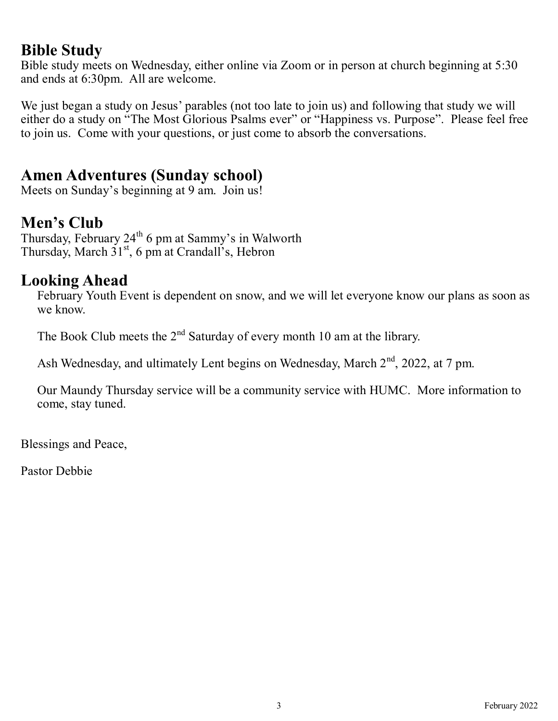#### **Bible Study**

Bible study meets on Wednesday, either online via Zoom or in person at church beginning at 5:30 and ends at 6:30pm. All are welcome.

We just began a study on Jesus' parables (not too late to join us) and following that study we will either do a study on "The Most Glorious Psalms ever" or "Happiness vs. Purpose". Please feel free to join us. Come with your questions, or just come to absorb the conversations.

## **Amen Adventures (Sunday school)**

Meets on Sunday's beginning at 9 am. Join us!

# **Men's Club**

Thursday, February 24<sup>th</sup> 6 pm at Sammy's in Walworth Thursday, March  $31<sup>st</sup>$ , 6 pm at Crandall's, Hebron

#### **Looking Ahead**

February Youth Event is dependent on snow, and we will let everyone know our plans as soon as we know.

The Book Club meets the  $2<sup>nd</sup>$  Saturday of every month 10 am at the library.

Ash Wednesday, and ultimately Lent begins on Wednesday, March  $2<sup>nd</sup>$ , 2022, at 7 pm.

Our Maundy Thursday service will be a community service with HUMC. More information to come, stay tuned.

Blessings and Peace,

Pastor Debbie